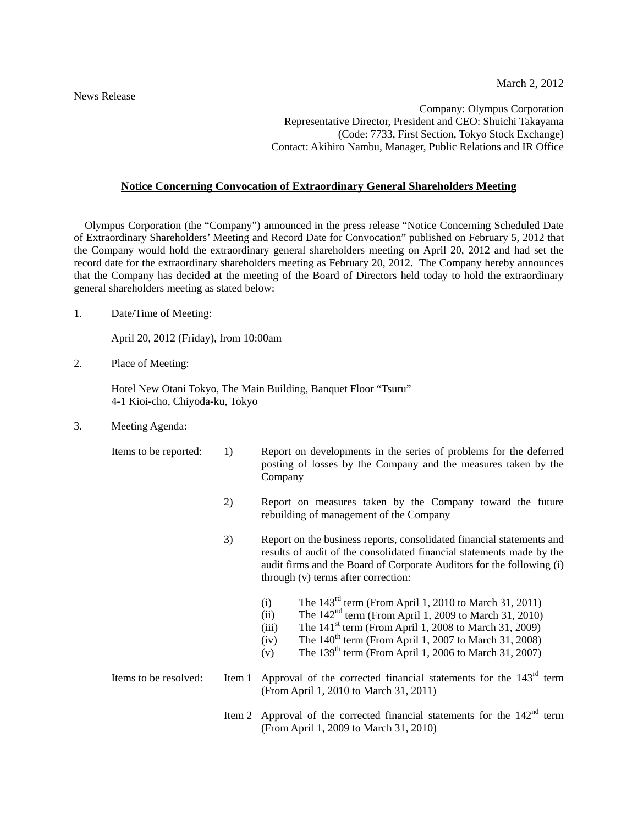News Release

Company: Olympus Corporation Representative Director, President and CEO: Shuichi Takayama (Code: 7733, First Section, Tokyo Stock Exchange) Contact: Akihiro Nambu, Manager, Public Relations and IR Office

## **Notice Concerning Convocation of Extraordinary General Shareholders Meeting**

Olympus Corporation (the "Company") announced in the press release "Notice Concerning Scheduled Date of Extraordinary Shareholders' Meeting and Record Date for Convocation" published on February 5, 2012 that the Company would hold the extraordinary general shareholders meeting on April 20, 2012 and had set the record date for the extraordinary shareholders meeting as February 20, 2012. The Company hereby announces that the Company has decided at the meeting of the Board of Directors held today to hold the extraordinary general shareholders meeting as stated below:

1. Date/Time of Meeting:

April 20, 2012 (Friday), from 10:00am

2. Place of Meeting:

 Hotel New Otani Tokyo, The Main Building, Banquet Floor "Tsuru" 4-1 Kioi-cho, Chiyoda-ku, Tokyo

3. Meeting Agenda:

- Items to be reported: 1) Report on developments in the series of problems for the deferred posting of losses by the Company and the measures taken by the Company
	- 2) Report on measures taken by the Company toward the future rebuilding of management of the Company
	- 3) Report on the business reports, consolidated financial statements and results of audit of the consolidated financial statements made by the audit firms and the Board of Corporate Auditors for the following (i) through (v) terms after correction:
		- (i) The  $143<sup>rd</sup>$  term (From April 1, 2010 to March 31, 2011)
		- (ii) The  $142<sup>nd</sup>$  term (From April 1, 2009 to March 31, 2010)
		- (iii) The  $141^{\text{st}}$  term (From April 1, 2008 to March 31, 2009)
		- $(iv)$  The 140<sup>th</sup> term (From April 1, 2007 to March 31, 2008)
		- (v) The  $139<sup>th</sup>$  term (From April 1, 2006 to March 31, 2007)

## Items to be resolved: Item 1 Approval of the corrected financial statements for the  $143<sup>rd</sup>$  term (From April 1, 2010 to March 31, 2011)

Item 2 Approval of the corrected financial statements for the  $142<sup>nd</sup>$  term (From April 1, 2009 to March 31, 2010)